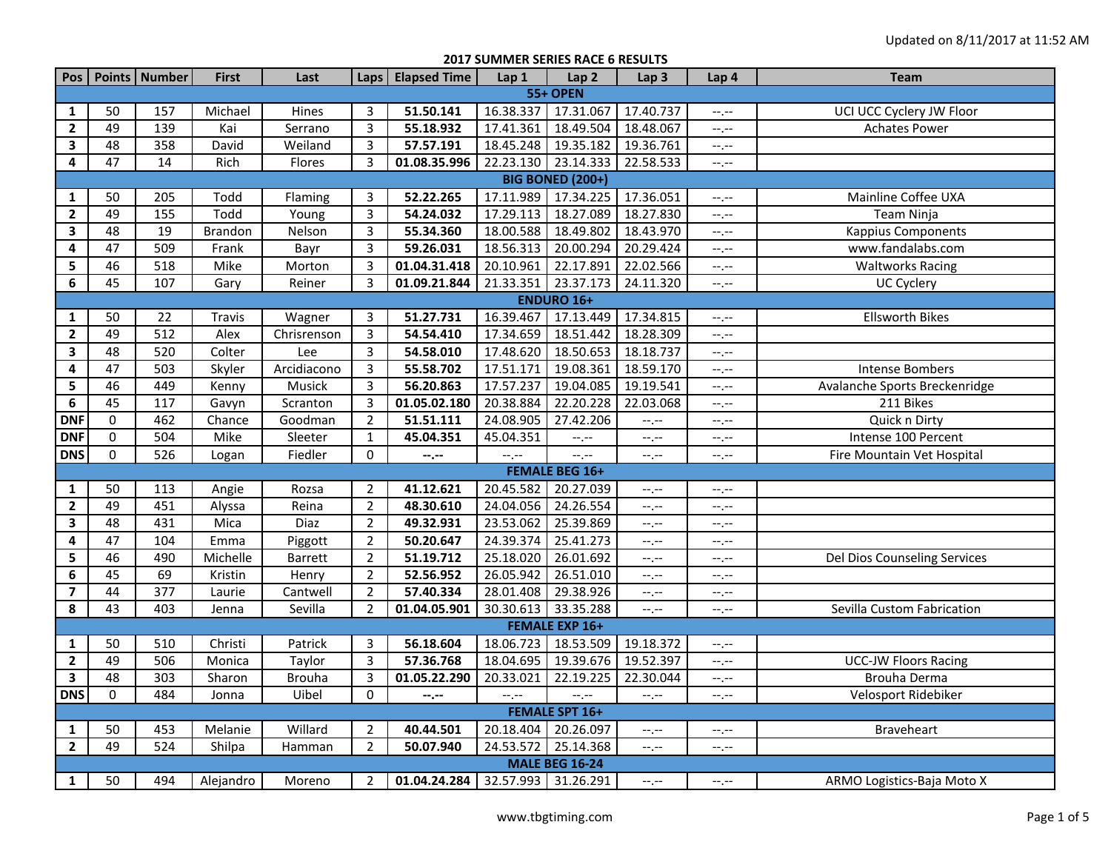**2017 SUMMER SERIES RACE 6 RESULTS**

| Pos                     |                 | Points Number    | <b>First</b>   | Last          |                | Laps   Elapsed Time | Lap 1               | Lap <sub>2</sub>        | Lap <sub>3</sub> | Lap 4            | <b>Team</b>                   |
|-------------------------|-----------------|------------------|----------------|---------------|----------------|---------------------|---------------------|-------------------------|------------------|------------------|-------------------------------|
|                         |                 |                  |                |               |                |                     |                     | <b>55+ OPEN</b>         |                  |                  |                               |
| $\mathbf{1}$            | 50              | 157              | Michael        | Hines         | 3              | 51.50.141           | 16.38.337           | 17.31.067               | 17.40.737        | --.--            | UCI UCC Cyclery JW Floor      |
| $\mathbf{2}$            | 49              | 139              | Kai            | Serrano       | 3              | 55.18.932           | 17.41.361           | 18.49.504               | 18.48.067        | $-1$             | <b>Achates Power</b>          |
| 3                       | 48              | 358              | David          | Weiland       | 3              | 57.57.191           | 18.45.248           | 19.35.182               | 19.36.761        | $-1, -1$         |                               |
| $\overline{\mathbf{4}}$ | $\overline{47}$ | 14               | Rich           | Flores        | 3              | 01.08.35.996        | 22.23.130           | 23.14.333               | 22.58.533        | $-1, -1$         |                               |
|                         |                 |                  |                |               |                |                     |                     | <b>BIG BONED (200+)</b> |                  |                  |                               |
| $\mathbf{1}$            | 50              | 205              | Todd           | Flaming       | 3              | 52.22.265           | 17.11.989           | 17.34.225               | 17.36.051        | $-1$ , $-1$      | Mainline Coffee UXA           |
| $\mathbf{2}$            | 49              | 155              | Todd           | Young         | 3              | 54.24.032           | 17.29.113           | 18.27.089               | 18.27.830        | $-1$ .           | Team Ninja                    |
| $\mathbf{3}$            | 48              | 19               | <b>Brandon</b> | Nelson        | 3              | 55.34.360           | 18.00.588           | 18.49.802               | 18.43.970        | --.--            | <b>Kappius Components</b>     |
| 4                       | 47              | 509              | Frank          | Bayr          | 3              | 59.26.031           | 18.56.313           | 20.00.294               | 20.29.424        | $-1, -1$         | www.fandalabs.com             |
| 5                       | 46              | 518              | Mike           | Morton        | 3              | 01.04.31.418        | 20.10.961           | 22.17.891               | 22.02.566        | $-1$ , $-1$      | <b>Waltworks Racing</b>       |
| 6                       | 45              | 107              | Gary           | Reiner        | 3              | 01.09.21.844        | 21.33.351           | 23.37.173               | 24.11.320        | $-1$             | <b>UC Cyclery</b>             |
| <b>ENDURO 16+</b>       |                 |                  |                |               |                |                     |                     |                         |                  |                  |                               |
| $\mathbf{1}$            | 50              | 22               | Travis         | Wagner        | 3              | 51.27.731           | 16.39.467           | 17.13.449               | 17.34.815        | $-1, -1$         | <b>Ellsworth Bikes</b>        |
| $\mathbf{2}$            | 49              | 512              | Alex           | Chrisrenson   | 3              | 54.54.410           | 17.34.659           | 18.51.442               | 18.28.309        | $-1$ .           |                               |
| 3                       | 48              | 520              | Colter         | Lee           | $\overline{3}$ | 54.58.010           | 17.48.620           | 18.50.653               | 18.18.737        | $-1, -1$         |                               |
| 4                       | 47              | 503              | Skyler         | Arcidiacono   | 3              | 55.58.702           | 17.51.171           | 19.08.361               | 18.59.170        | $-1$ , $-1$      | <b>Intense Bombers</b>        |
| 5                       | 46              | 449              | Kenny          | Musick        | 3              | 56.20.863           | 17.57.237           | 19.04.085               | 19.19.541        | --.--            | Avalanche Sports Breckenridge |
| 6                       | 45              | 117              | Gavyn          | Scranton      | 3              | 01.05.02.180        | 20.38.884           | 22.20.228               | 22.03.068        | $--, --$         | 211 Bikes                     |
| <b>DNF</b>              | $\mathbf 0$     | 462              | Chance         | Goodman       | $\overline{2}$ | 51.51.111           | 24.08.905           | 27.42.206               | $-1$             | --.--            | Quick n Dirty                 |
| <b>DNF</b>              | 0               | 504              | Mike           | Sleeter       | $\mathbf{1}$   | 45.04.351           | 45.04.351           | $-1$                    | $-1$             | $-1, -1$         | Intense 100 Percent           |
| <b>DNS</b>              | $\mathbf 0$     | 526              | Logan          | Fiedler       | $\mathbf 0$    | --.--               | $-1$ . $-1$         | $-$ , $-$               | $-1$             | $-1$ , $-1$      | Fire Mountain Vet Hospital    |
|                         |                 |                  |                |               |                |                     |                     | <b>FEMALE BEG 16+</b>   |                  |                  |                               |
| $\mathbf{1}$            | 50              | 113              | Angie          | Rozsa         | $\overline{2}$ | 41.12.621           | 20.45.582           | 20.27.039               | --.--            | --.--            |                               |
| $\mathbf{2}$            | 49              | 451              | Alyssa         | Reina         | $\overline{2}$ | 48.30.610           | 24.04.056           | 24.26.554               | $-1$             | $-1, -1$         |                               |
| 3                       | 48              | 431              | Mica           | Diaz          | $\overline{2}$ | 49.32.931           | 23.53.062           | 25.39.869               | $-1, -1$         | $-1$ , $-1$      |                               |
| 4                       | 47              | 104              | Emma           | Piggott       | $\overline{2}$ | 50.20.647           | 24.39.374           | 25.41.273               | $-1$             | $-1, -1$         |                               |
| 5                       | 46              | 490              | Michelle       | Barrett       | $\overline{2}$ | 51.19.712           | 25.18.020           | 26.01.692               | $--, --$         | $-1$ , $-1$      | Del Dios Counseling Services  |
| 6                       | 45              | 69               | Kristin        | Henry         | $\overline{2}$ | 52.56.952           | 26.05.942           | 26.51.010               | $-1$             | $--, --$         |                               |
| $\overline{\mathbf{z}}$ | 44              | $\overline{377}$ | Laurie         | Cantwell      | $\overline{2}$ | 57.40.334           | 28.01.408           | 29.38.926               | $-1$             | $-1, -1$         |                               |
| 8                       | 43              | 403              | Jenna          | Sevilla       | $\overline{2}$ | 01.04.05.901        | 30.30.613           | 33.35.288               | $-1$             | $-1, -1$         | Sevilla Custom Fabrication    |
| <b>FEMALE EXP 16+</b>   |                 |                  |                |               |                |                     |                     |                         |                  |                  |                               |
| $\mathbf{1}$            | 50              | 510              | Christi        | Patrick       | 3              | 56.18.604           | 18.06.723           | 18.53.509               | 19.18.372        | $-1$ , $-1$      |                               |
| $\overline{\mathbf{2}}$ | 49              | 506              | Monica         | Taylor        | 3              | 57.36.768           | 18.04.695           | 19.39.676               | 19.52.397        | $-1$ .           | <b>UCC-JW Floors Racing</b>   |
| 3                       | 48              | 303              | Sharon         | <b>Brouha</b> | 3              | 01.05.22.290        | 20.33.021           | 22.19.225               | 22.30.044        | $-1$             | Brouha Derma                  |
| <b>DNS</b>              | $\Omega$        | 484              | Jonna          | Uibel         | $\mathbf 0$    | --.--               | $-1 - 1 - 1 = 0$    | $-1 - 1 - 1 = 0$        | $-1$             | $-1, -1$         | Velosport Ridebiker           |
|                         |                 |                  |                |               |                |                     |                     | <b>FEMALE SPT 16+</b>   |                  |                  |                               |
| $\mathbf{1}$            | 50              | 453              | Melanie        | Willard       | $\overline{2}$ | 40.44.501           | 20.18.404           | 20.26.097               | $-1$             | $-1, -1$         | <b>Braveheart</b>             |
| $\mathbf{2}$            | 49              | 524              | Shilpa         | Hamman        | $\overline{2}$ | 50.07.940           | 24.53.572           | 25.14.368               | $--, --$         | $-1 - 1 - 1 = 0$ |                               |
|                         |                 |                  |                |               |                |                     |                     | <b>MALE BEG 16-24</b>   |                  |                  |                               |
| $\mathbf{1}$            | 50              | 494              | Alejandro      | Moreno        | 2              | 01.04.24.284        | 32.57.993 31.26.291 |                         | $-1, -1$         | $-1, -1$         | ARMO Logistics-Baja Moto X    |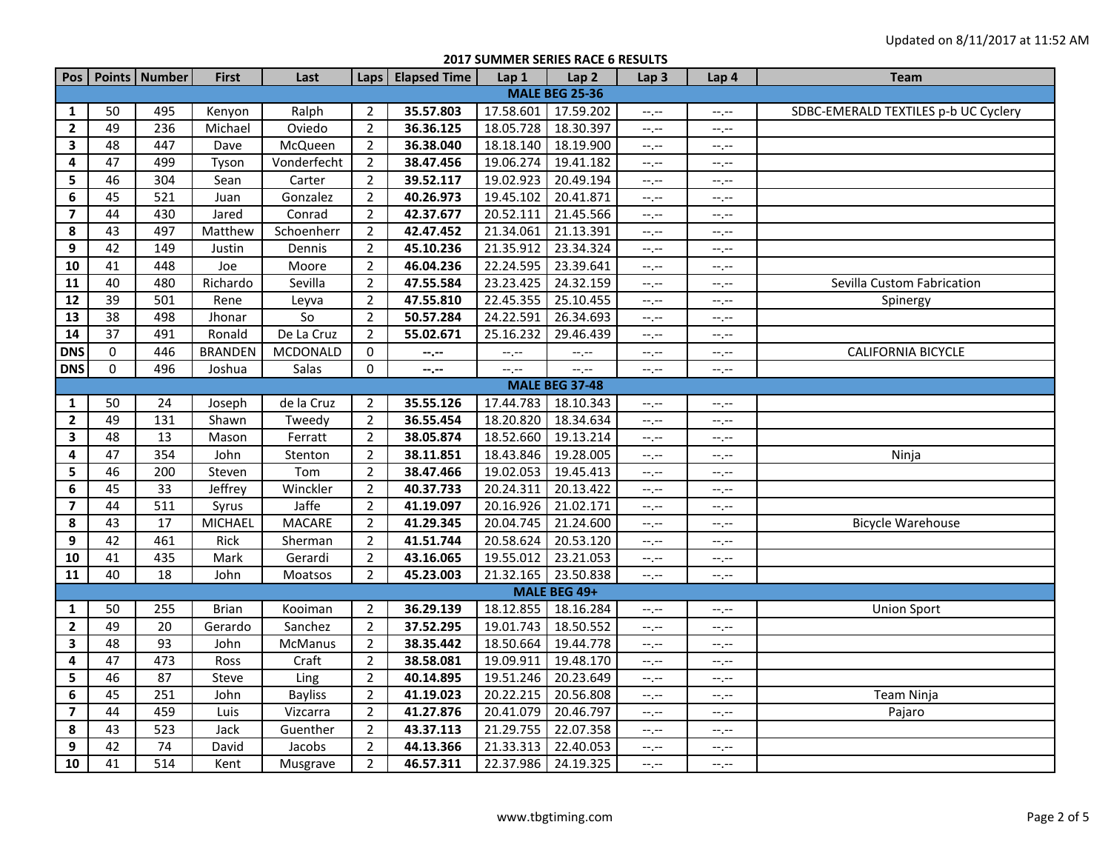**2017 SUMMER SERIES RACE 6 RESULTS**

|                         |                       | Pos   Points   Number | <b>First</b>   | Last           |                | Laps   Elapsed Time | Lap 1     | Lap <sub>2</sub> | Lap <sub>3</sub> | Lap 4       | Team                                 |  |
|-------------------------|-----------------------|-----------------------|----------------|----------------|----------------|---------------------|-----------|------------------|------------------|-------------|--------------------------------------|--|
| <b>MALE BEG 25-36</b>   |                       |                       |                |                |                |                     |           |                  |                  |             |                                      |  |
| $\mathbf{1}$            | 50                    | 495                   | Kenyon         | Ralph          | $\overline{2}$ | 35.57.803           | 17.58.601 | 17.59.202        | $-1, -1$         | $-1, -1$    | SDBC-EMERALD TEXTILES p-b UC Cyclery |  |
| $\mathbf{2}$            | 49                    | 236                   | Michael        | Oviedo         | $\overline{2}$ | 36.36.125           | 18.05.728 | 18.30.397        | --.--            | --.--       |                                      |  |
| $\mathbf{3}$            | 48                    | 447                   | Dave           | McQueen        | $\overline{2}$ | 36.38.040           | 18.18.140 | 18.19.900        | $-1, -1$         | $-1$ , $-1$ |                                      |  |
| 4                       | 47                    | 499                   | Tyson          | Vonderfecht    | $\overline{2}$ | 38.47.456           | 19.06.274 | 19.41.182        | $-1, -1$         | $-1$ , $-1$ |                                      |  |
| 5                       | 46                    | 304                   | Sean           | Carter         | $\overline{2}$ | 39.52.117           | 19.02.923 | 20.49.194        | --.--            | $--, --$    |                                      |  |
| 6                       | 45                    | 521                   | Juan           | Gonzalez       | $\overline{2}$ | 40.26.973           | 19.45.102 | 20.41.871        | $-1, -1$         | $-1, -1$    |                                      |  |
| $\overline{\mathbf{z}}$ | 44                    | 430                   | Jared          | Conrad         | $\overline{2}$ | 42.37.677           | 20.52.111 | 21.45.566        | $-1, -1$         | $-1$ , $-1$ |                                      |  |
| 8                       | 43                    | 497                   | Matthew        | Schoenherr     | $\overline{2}$ | 42.47.452           | 21.34.061 | 21.13.391        | $-1$ , $-1$      | $-1, -1$    |                                      |  |
| 9                       | 42                    | 149                   | Justin         | Dennis         | $\overline{2}$ | 45.10.236           | 21.35.912 | 23.34.324        | $-1, -1$         | $-1, -1$    |                                      |  |
| 10                      | 41                    | 448                   | Joe            | Moore          | $\overline{2}$ | 46.04.236           | 22.24.595 | 23.39.641        | $-1, -1$         | $-1$ .      |                                      |  |
| 11                      | 40                    | 480                   | Richardo       | Sevilla        | $\overline{2}$ | 47.55.584           | 23.23.425 | 24.32.159        | $-$ , $-$        | $-1, -1$    | Sevilla Custom Fabrication           |  |
| $\overline{12}$         | $\overline{39}$       | 501                   | Rene           | Leyva          | $\overline{2}$ | 47.55.810           | 22.45.355 | 25.10.455        | $-1, -1$         | $-1$ , $-1$ | Spinergy                             |  |
| 13                      | $\overline{38}$       | 498                   | Jhonar         | $\overline{S}$ | $\overline{2}$ | 50.57.284           | 24.22.591 | 26.34.693        | $-1, -1$         | $-1$ . $-1$ |                                      |  |
| 14                      | 37                    | 491                   | Ronald         | De La Cruz     | $\overline{2}$ | 55.02.671           | 25.16.232 | 29.46.439        | $-1, -1$         | $-1$ . $-1$ |                                      |  |
| <b>DNS</b>              | 0                     | 446                   | <b>BRANDEN</b> | MCDONALD       | 0              | $-1, -1$            | --.--     | --,--            | $-1, -1$         | $-1$ .      | CALIFORNIA BICYCLE                   |  |
| <b>DNS</b>              | $\pmb{0}$             | 496                   | Joshua         | Salas          | 0              | $-1$                | --.--     | $-$ , $-$        | $-1, -1$         | $-1$ .      |                                      |  |
|                         | <b>MALE BEG 37-48</b> |                       |                |                |                |                     |           |                  |                  |             |                                      |  |
| $\mathbf{1}$            | 50                    | 24                    | Joseph         | de la Cruz     | 2              | 35.55.126           | 17.44.783 | 18.10.343        | $-1, -1$         | $-1, -1$    |                                      |  |
| $\overline{\mathbf{2}}$ | 49                    | 131                   | Shawn          | Tweedy         | $\overline{2}$ | 36.55.454           | 18.20.820 | 18.34.634        | --.--            | $-1$ .      |                                      |  |
| 3                       | 48                    | 13                    | Mason          | Ferratt        | $\overline{2}$ | 38.05.874           | 18.52.660 | 19.13.214        | $-1$ , $-1$      | $-1$ , $-1$ |                                      |  |
| $\overline{\mathbf{4}}$ | 47                    | 354                   | John           | Stenton        | $\overline{2}$ | 38.11.851           | 18.43.846 | 19.28.005        | $-1, -1$         | --,--       | Ninja                                |  |
| ${\sf 5}$               | 46                    | 200                   | Steven         | Tom            | $\overline{2}$ | 38.47.466           | 19.02.053 | 19.45.413        | $-1, -1$         | $--, --$    |                                      |  |
| 6                       | 45                    | 33                    | Jeffrey        | Winckler       | $\overline{2}$ | 40.37.733           | 20.24.311 | 20.13.422        | $-1, -1$         | $-1$ , $-1$ |                                      |  |
| $\overline{\mathbf{z}}$ | 44                    | $\overline{511}$      | Syrus          | Jaffe          | $\overline{2}$ | 41.19.097           | 20.16.926 | 21.02.171        | --.--            | $-1$ , $-1$ |                                      |  |
| 8                       | 43                    | 17                    | <b>MICHAEL</b> | <b>MACARE</b>  | $\overline{2}$ | 41.29.345           | 20.04.745 | 21.24.600        | $-1$ , $-1$      | $-1, -1$    | <b>Bicycle Warehouse</b>             |  |
| 9                       | 42                    | 461                   | Rick           | Sherman        | $\overline{2}$ | 41.51.744           | 20.58.624 | 20.53.120        | $-1, -1$         | $-1$ .      |                                      |  |
| 10                      | 41                    | 435                   | Mark           | Gerardi        | $\overline{2}$ | 43.16.065           | 19.55.012 | 23.21.053        | $-1, -1$         | $-1, -1$    |                                      |  |
| 11                      | 40                    | 18                    | John           | Moatsos        | $\overline{2}$ | 45.23.003           | 21.32.165 | 23.50.838        | $-1 - 1 - 1 = 0$ | $-1$ , $-1$ |                                      |  |
|                         |                       |                       |                |                |                |                     |           | MALE BEG 49+     |                  |             |                                      |  |
| 1                       | 50                    | 255                   | <b>Brian</b>   | Kooiman        | $\overline{2}$ | 36.29.139           | 18.12.855 | 18.16.284        | --,--            | $--, --$    | <b>Union Sport</b>                   |  |
| $\overline{2}$          | 49                    | 20                    | Gerardo        | Sanchez        | $\overline{2}$ | 37.52.295           | 19.01.743 | 18.50.552        | $-1, -1$         | $-1$ , $-1$ |                                      |  |
| $\mathbf{3}$            | 48                    | 93                    | John           | McManus        | $\overline{2}$ | 38.35.442           | 18.50.664 | 19.44.778        | $-1, -1$         | $-1$ .      |                                      |  |
| $\overline{\mathbf{4}}$ | 47                    | 473                   | Ross           | Craft          | $\overline{2}$ | 38.58.081           | 19.09.911 | 19.48.170        | --.--            | $-1, -1$    |                                      |  |
| 5                       | 46                    | 87                    | Steve          | Ling           | $\overline{2}$ | 40.14.895           | 19.51.246 | 20.23.649        | $-1$ , $-1$      | $-1, -1$    |                                      |  |
| 6                       | 45                    | 251                   | John           | <b>Bayliss</b> | $\overline{2}$ | 41.19.023           | 20.22.215 | 20.56.808        | --.--            | $-1$ , $-1$ | Team Ninja                           |  |
| $\overline{\mathbf{z}}$ | 44                    | 459                   | Luis           | Vizcarra       | $\overline{2}$ | 41.27.876           | 20.41.079 | 20.46.797        | $-1$ , $-1$      | $-1$ , $-1$ | Pajaro                               |  |
| 8                       | 43                    | 523                   | Jack           | Guenther       | $\overline{2}$ | 43.37.113           | 21.29.755 | 22.07.358        | $-1, -1$         | $-1, -1$    |                                      |  |
| 9                       | 42                    | $\overline{74}$       | David          | Jacobs         | $\overline{2}$ | 44.13.366           | 21.33.313 | 22.40.053        | $-1, -1$         | $-1$ . $-1$ |                                      |  |
| 10                      | 41                    | 514                   | Kent           | Musgrave       | $\overline{2}$ | 46.57.311           | 22.37.986 | 24.19.325        | $-1, -1$         | $-1, -1$    |                                      |  |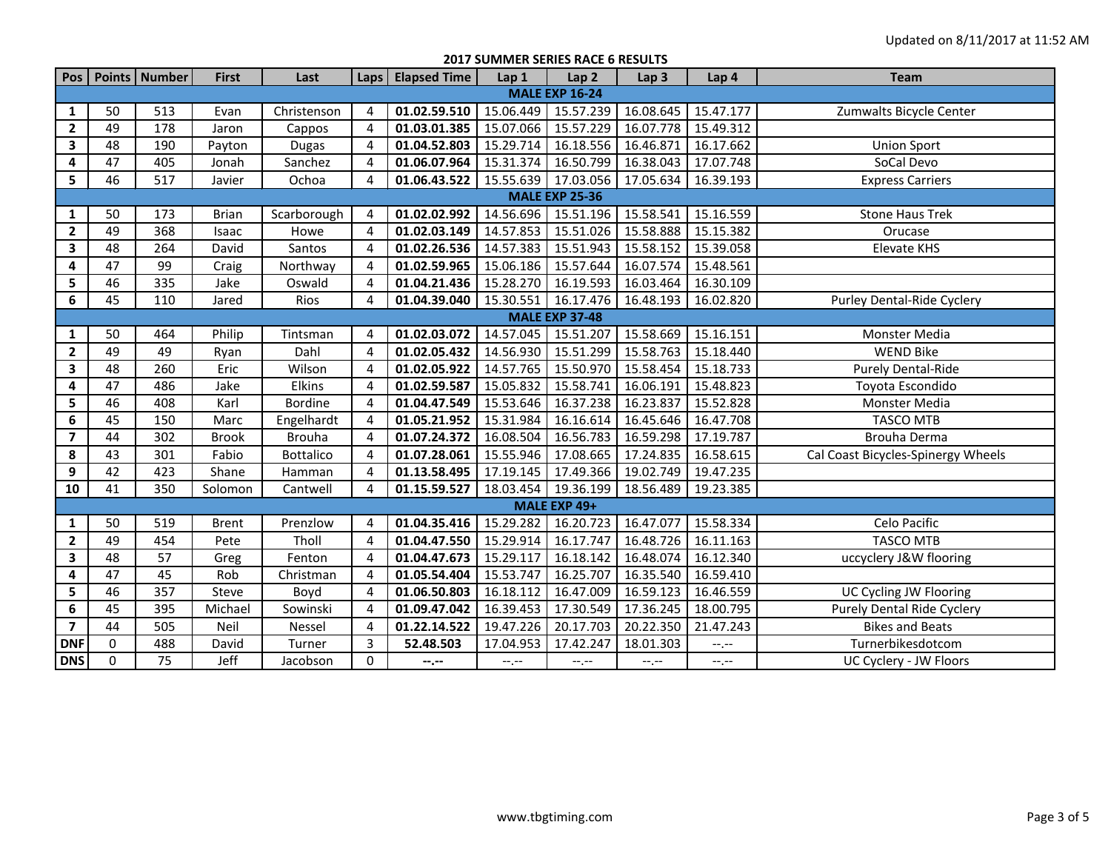| <b>2017 SUMMER SERIES RACE 6 RESULTS</b> |  |  |  |  |  |
|------------------------------------------|--|--|--|--|--|
|------------------------------------------|--|--|--|--|--|

|                         |    | Pos   Points   Number | <b>First</b> | Last             |                | Laps   Elapsed Time | Lap 1     | Lap <sub>2</sub>      | Lap <sub>3</sub> | Lap 4                       | <b>Team</b>                        |
|-------------------------|----|-----------------------|--------------|------------------|----------------|---------------------|-----------|-----------------------|------------------|-----------------------------|------------------------------------|
|                         |    |                       |              |                  |                |                     |           | <b>MALE EXP 16-24</b> |                  |                             |                                    |
| 1                       | 50 | 513                   | Evan         | Christenson      | 4              | 01.02.59.510        | 15.06.449 | 15.57.239             | 16.08.645        | 15.47.177                   | Zumwalts Bicycle Center            |
| $\overline{2}$          | 49 | 178                   | Jaron        | Cappos           | $\overline{4}$ | 01.03.01.385        | 15.07.066 | 15.57.229             | 16.07.778        | 15.49.312                   |                                    |
| 3                       | 48 | 190                   | Payton       | <b>Dugas</b>     | $\overline{4}$ | 01.04.52.803        | 15.29.714 | 16.18.556             | 16.46.871        | 16.17.662                   | <b>Union Sport</b>                 |
| 4                       | 47 | 405                   | Jonah        | Sanchez          | 4              | 01.06.07.964        | 15.31.374 | 16.50.799             | 16.38.043        | 17.07.748                   | SoCal Devo                         |
| $\overline{\mathbf{5}}$ | 46 | 517                   | Javier       | Ochoa            | $\overline{a}$ | 01.06.43.522        | 15.55.639 | 17.03.056             | 17.05.634        | 16.39.193                   | <b>Express Carriers</b>            |
|                         |    |                       |              |                  |                |                     |           | <b>MALE EXP 25-36</b> |                  |                             |                                    |
| $\mathbf{1}$            | 50 | 173                   | <b>Brian</b> | Scarborough      | $\overline{4}$ | 01.02.02.992        |           | 14.56.696 15.51.196   | 15.58.541        | 15.16.559                   | <b>Stone Haus Trek</b>             |
| $\mathbf{2}$            | 49 | 368                   | Isaac        | Howe             | $\overline{4}$ | 01.02.03.149        | 14.57.853 | 15.51.026             | 15.58.888        | 15.15.382                   | Orucase                            |
| $\mathbf{3}$            | 48 | 264                   | David        | Santos           | $\overline{4}$ | 01.02.26.536        | 14.57.383 | 15.51.943             | 15.58.152        | 15.39.058                   | <b>Elevate KHS</b>                 |
| 4                       | 47 | 99                    | Craig        | Northway         | $\overline{4}$ | 01.02.59.965        | 15.06.186 | 15.57.644             | 16.07.574        | 15.48.561                   |                                    |
| 5                       | 46 | 335                   | Jake         | Oswald           | $\overline{4}$ | 01.04.21.436        | 15.28.270 | 16.19.593             | 16.03.464        | 16.30.109                   |                                    |
| 6                       | 45 | 110                   | Jared        | Rios             | $\overline{4}$ | 01.04.39.040        | 15.30.551 | 16.17.476             | 16.48.193        | 16.02.820                   | Purley Dental-Ride Cyclery         |
| <b>MALE EXP 37-48</b>   |    |                       |              |                  |                |                     |           |                       |                  |                             |                                    |
| $\mathbf{1}$            | 50 | 464                   | Philip       | Tintsman         | $\overline{4}$ | 01.02.03.072        | 14.57.045 | 15.51.207             | 15.58.669        | 15.16.151                   | Monster Media                      |
| $\mathbf{2}$            | 49 | 49                    | Ryan         | Dahl             | $\overline{4}$ | 01.02.05.432        | 14.56.930 | 15.51.299             | 15.58.763        | 15.18.440                   | <b>WEND Bike</b>                   |
| 3                       | 48 | 260                   | Eric         | Wilson           | $\overline{4}$ | 01.02.05.922        | 14.57.765 | 15.50.970             | 15.58.454        | 15.18.733                   | <b>Purely Dental-Ride</b>          |
| 4                       | 47 | 486                   | Jake         | Elkins           | $\overline{4}$ | 01.02.59.587        | 15.05.832 | 15.58.741             | 16.06.191        | 15.48.823                   | Toyota Escondido                   |
| 5                       | 46 | 408                   | Karl         | Bordine          | $\overline{4}$ | 01.04.47.549        | 15.53.646 | 16.37.238             | 16.23.837        | 15.52.828                   | Monster Media                      |
| 6                       | 45 | 150                   | Marc         | Engelhardt       | $\overline{4}$ | 01.05.21.952        | 15.31.984 | 16.16.614             | 16.45.646        | 16.47.708                   | <b>TASCO MTB</b>                   |
| $\overline{\mathbf{z}}$ | 44 | 302                   | <b>Brook</b> | <b>Brouha</b>    | $\overline{4}$ | 01.07.24.372        | 16.08.504 | 16.56.783             | 16.59.298        | 17.19.787                   | Brouha Derma                       |
| 8                       | 43 | 301                   | Fabio        | <b>Bottalico</b> | 4              | 01.07.28.061        | 15.55.946 | 17.08.665             | 17.24.835        | 16.58.615                   | Cal Coast Bicycles-Spinergy Wheels |
| 9                       | 42 | 423                   | Shane        | Hamman           | 4              | 01.13.58.495        | 17.19.145 | 17.49.366             | 19.02.749        | 19.47.235                   |                                    |
| 10                      | 41 | 350                   | Solomon      | Cantwell         | $\overline{a}$ | 01.15.59.527        | 18.03.454 | 19.36.199             | 18.56.489        | 19.23.385                   |                                    |
| MALE EXP 49+            |    |                       |              |                  |                |                     |           |                       |                  |                             |                                    |
| $\mathbf{1}$            | 50 | 519                   | <b>Brent</b> | Prenzlow         | 4              | 01.04.35.416        | 15.29.282 | 16.20.723             | 16.47.077        | 15.58.334                   | Celo Pacific                       |
| $\overline{2}$          | 49 | 454                   | Pete         | Tholl            | $\overline{4}$ | 01.04.47.550        | 15.29.914 | 16.17.747             | 16.48.726        | 16.11.163                   | <b>TASCO MTB</b>                   |
| 3                       | 48 | 57                    | Greg         | Fenton           | $\overline{4}$ | 01.04.47.673        | 15.29.117 | 16.18.142             | 16.48.074        | 16.12.340                   | uccyclery J&W flooring             |
| 4                       | 47 | 45                    | Rob          | Christman        | $\overline{4}$ | 01.05.54.404        | 15.53.747 | 16.25.707             | 16.35.540        | 16.59.410                   |                                    |
| 5                       | 46 | 357                   | Steve        | Boyd             | 4              | 01.06.50.803        | 16.18.112 | 16.47.009             | 16.59.123        | 16.46.559                   | UC Cycling JW Flooring             |
| 6                       | 45 | 395                   | Michael      | Sowinski         | $\overline{4}$ | 01.09.47.042        | 16.39.453 | 17.30.549             | 17.36.245        | 18.00.795                   | <b>Purely Dental Ride Cyclery</b>  |
| $\overline{\mathbf{z}}$ | 44 | 505                   | Neil         | Nessel           | $\overline{4}$ | 01.22.14.522        | 19.47.226 | 20.17.703             | 20.22.350        | 21.47.243                   | <b>Bikes and Beats</b>             |
| <b>DNF</b>              | 0  | 488                   | David        | Turner           | 3              | 52.48.503           | 17.04.953 | 17.42.247             | 18.01.303        | $-1 - 1 - 1 = 0$            | Turnerbikesdotcom                  |
| <b>DNS</b>              | 0  | 75                    | Jeff         | Jacobson         | $\Omega$       | --.--               | $-1, -1$  | $-1, -1$              | $-1, -1$         | $\leftarrow$ , $\leftarrow$ | UC Cyclery - JW Floors             |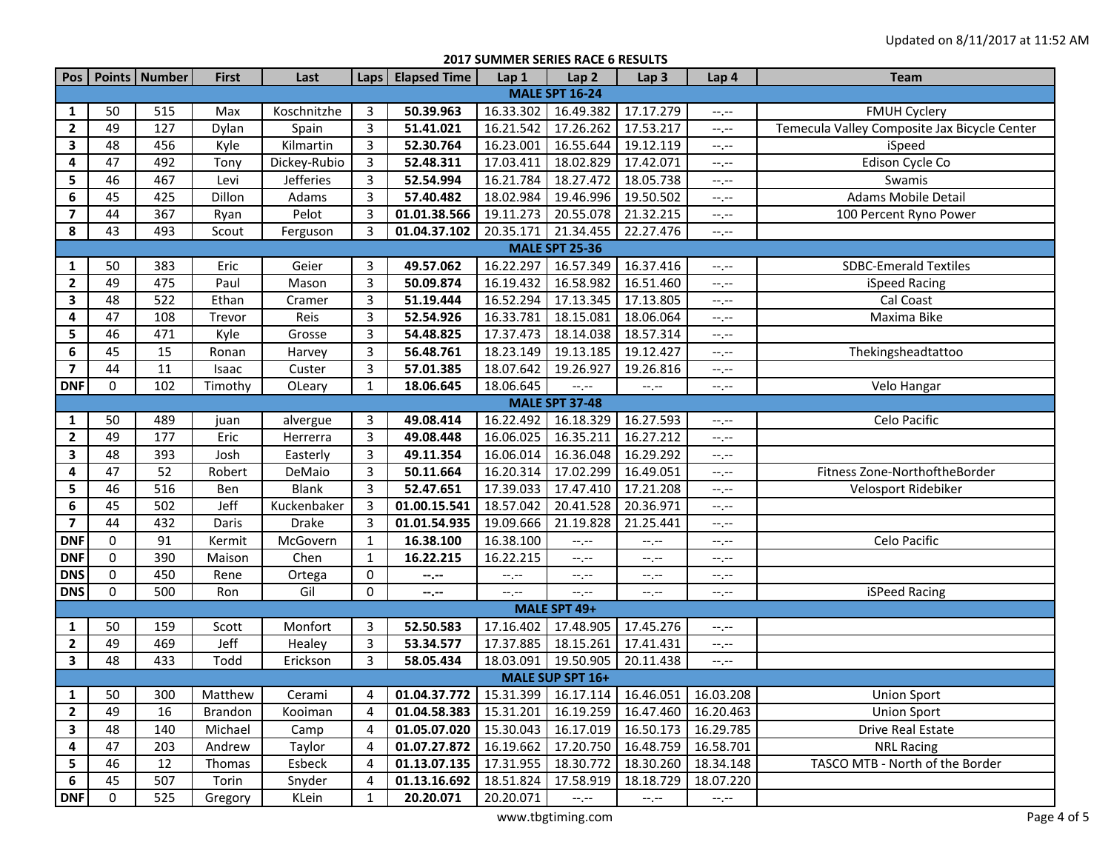**2017 SUMMER SERIES RACE 6 RESULTS**

| Pos                     |             | Points   Number | <b>First</b> | Last             |                | Laps   Elapsed Time                                                                       | Lap 1     | Lap <sub>2</sub>            | Lap <sub>3</sub>                              | Lap 4                       | <b>Team</b>                                  |
|-------------------------|-------------|-----------------|--------------|------------------|----------------|-------------------------------------------------------------------------------------------|-----------|-----------------------------|-----------------------------------------------|-----------------------------|----------------------------------------------|
| <b>MALE SPT 16-24</b>   |             |                 |              |                  |                |                                                                                           |           |                             |                                               |                             |                                              |
| 1                       | 50          | 515             | Max          | Koschnitzhe      | 3              | 50.39.963                                                                                 | 16.33.302 | 16.49.382                   | 17.17.279                                     | $--, --$                    | <b>FMUH Cyclery</b>                          |
| $\overline{2}$          | 49          | 127             | Dylan        | Spain            | 3              | 51.41.021                                                                                 | 16.21.542 | 17.26.262                   | 17.53.217                                     | $-1$                        | Temecula Valley Composite Jax Bicycle Center |
| 3                       | 48          | 456             | Kyle         | Kilmartin        | 3              | 52.30.764                                                                                 | 16.23.001 | 16.55.644                   | 19.12.119                                     | $-1, -1$                    | iSpeed                                       |
| 4                       | 47          | 492             | Tony         | Dickey-Rubio     | 3              | 52.48.311                                                                                 | 17.03.411 | 18.02.829                   | 17.42.071                                     | $-1, -1$                    | Edison Cycle Co                              |
| 5                       | 46          | 467             | Levi         | <b>Jefferies</b> | 3              | 52.54.994                                                                                 | 16.21.784 | 18.27.472                   | 18.05.738                                     | $-1, -1$                    | Swamis                                       |
| 6                       | 45          | 425             | Dillon       | Adams            | $\overline{3}$ | 57.40.482                                                                                 | 18.02.984 | 19.46.996                   | 19.50.502                                     | $-1, -1$                    | Adams Mobile Detail                          |
| $\overline{ }$          | 44          | 367             | Ryan         | Pelot            | 3              | 01.01.38.566                                                                              | 19.11.273 | 20.55.078                   | 21.32.215                                     | $-1, -1$                    | 100 Percent Ryno Power                       |
| 8                       | 43          | 493             | Scout        | Ferguson         | 3              | 01.04.37.102                                                                              | 20.35.171 | 21.34.455                   | 22.27.476                                     | $-1, -1$                    |                                              |
| <b>MALE SPT 25-36</b>   |             |                 |              |                  |                |                                                                                           |           |                             |                                               |                             |                                              |
| 1                       | 50          | 383             | Eric         | Geier            | 3              | 49.57.062                                                                                 | 16.22.297 | 16.57.349                   | 16.37.416                                     | $-1 - 1 - 1 = 0$            | <b>SDBC-Emerald Textiles</b>                 |
| $\mathbf{2}$            | 49          | 475             | Paul         | Mason            | 3              | 50.09.874                                                                                 | 16.19.432 | 16.58.982                   | 16.51.460                                     | $-1, -1$                    | iSpeed Racing                                |
| 3                       | 48          | 522             | Ethan        | Cramer           | 3              | 51.19.444                                                                                 | 16.52.294 | 17.13.345                   | 17.13.805                                     | $-1, -1$                    | Cal Coast                                    |
| 4                       | 47          | 108             | Trevor       | Reis             | 3              | 52.54.926                                                                                 | 16.33.781 | 18.15.081                   | 18.06.064                                     | $-1, -1$                    | Maxima Bike                                  |
| 5                       | 46          | 471             | Kyle         | Grosse           | 3              | 54.48.825                                                                                 | 17.37.473 | 18.14.038                   | 18.57.314                                     | --.--                       |                                              |
| 6                       | 45          | 15              | Ronan        | Harvey           | 3              | 56.48.761                                                                                 | 18.23.149 | 19.13.185                   | 19.12.427                                     | --.--                       | Thekingsheadtattoo                           |
| $\overline{7}$          | 44          | 11              | Isaac        | Custer           | 3              | 57.01.385                                                                                 | 18.07.642 | 19.26.927                   | 19.26.816                                     | $-1, -1$                    |                                              |
| <b>DNF</b>              | $\mathbf 0$ | 102             | Timothy      | OLeary           | 1              | 18.06.645                                                                                 | 18.06.645 | $-1, -1$                    | $-1$ . $-1$                                   | $-1, -1$                    | Velo Hangar                                  |
|                         |             |                 |              |                  |                |                                                                                           |           | <b>MALE SPT 37-48</b>       |                                               |                             |                                              |
| 1                       | 50          | 489             | juan         | alvergue         | 3              | 49.08.414                                                                                 | 16.22.492 | 16.18.329                   | 16.27.593                                     | $-1, -1$                    | Celo Pacific                                 |
| $\overline{2}$          | 49          | 177             | Eric         | Herrerra         | 3              | 49.08.448                                                                                 | 16.06.025 | 16.35.211                   | 16.27.212                                     | $-1, -1$                    |                                              |
| 3                       | 48          | 393             | Josh         | Easterly         | 3              | 49.11.354                                                                                 | 16.06.014 | 16.36.048                   | 16.29.292                                     | $-1, -1$                    |                                              |
| 4                       | 47          | 52              | Robert       | DeMaio           | 3              | 50.11.664                                                                                 | 16.20.314 | 17.02.299                   | 16.49.051                                     | $-1, -1$                    | Fitness Zone-NorthoftheBorder                |
| 5                       | 46          | 516             | Ben          | <b>Blank</b>     | 3              | 52.47.651                                                                                 | 17.39.033 | 17.47.410                   | 17.21.208                                     | $\leftarrow$ , $\leftarrow$ | Velosport Ridebiker                          |
| $\boldsymbol{6}$        | 45          | 502             | Jeff         | Kuckenbaker      | 3              | 01.00.15.541                                                                              | 18.57.042 | 20.41.528                   | 20.36.971                                     | $-1, -1$                    |                                              |
| $\overline{\mathbf{z}}$ | 44          | 432             | Daris        | <b>Drake</b>     | 3              | 01.01.54.935                                                                              | 19.09.666 | 21.19.828                   | 21.25.441                                     | $-1, -1$                    |                                              |
| <b>DNF</b>              | $\mathbf 0$ | 91              | Kermit       | McGovern         | 1              | 16.38.100                                                                                 | 16.38.100 | --.--                       | $-1$ , $-1$                                   | $-1, -1$                    | Celo Pacific                                 |
| <b>DNF</b>              | $\mathbf 0$ | 390             | Maison       | Chen             | 1              | 16.22.215                                                                                 | 16.22.215 | --.--                       | --.--                                         | $-1, -1$                    |                                              |
| <b>DNS</b>              | 0           | 450             | Rene         | Ortega           | 0              | --.--                                                                                     | --.--     | $-1, -1$                    | --.--                                         | $-1, -1$                    |                                              |
| <b>DNS</b>              | $\Omega$    | 500             | Ron          | Gil              | $\mathbf{0}$   | --.--                                                                                     | --,--     | --,--                       | $-1$                                          | $-1, -1$                    | iSPeed Racing                                |
| MALE SPT 49+            |             |                 |              |                  |                |                                                                                           |           |                             |                                               |                             |                                              |
| 1                       | 50          | 159             | Scott        | Monfort          | 3              | 52.50.583                                                                                 | 17.16.402 | 17.48.905                   | 17.45.276                                     | $-1, -1$                    |                                              |
| $\overline{2}$          | 49          | 469             | Jeff         | Healey           | 3              | 53.34.577                                                                                 | 17.37.885 | 18.15.261                   | 17.41.431                                     | $-1, -1$                    |                                              |
| 3                       | 48          | 433             | Todd         | Erickson         | 3              | 58.05.434                                                                                 |           | 18.03.091 19.50.905         | 20.11.438                                     | $-1, -1$                    |                                              |
|                         |             |                 |              |                  |                |                                                                                           |           | MALE SUP SPT 16+            |                                               |                             |                                              |
|                         | $1 \mid 50$ |                 |              |                  |                | 300   Matthew   Cerami   4   01.04.37.772   15.31.399   16.17.114   16.46.051   16.03.208 |           |                             |                                               |                             | <b>Union Sport</b>                           |
| $\mathbf{2}$            | 49          | 16              | Brandon      | Kooiman          | 4              | 01.04.58.383                                                                              |           |                             | 15.31.201   16.19.259   16.47.460   16.20.463 |                             | <b>Union Sport</b>                           |
| 3                       | 48          | 140             | Michael      | Camp             | 4              | 01.05.07.020                                                                              |           |                             | 15.30.043   16.17.019   16.50.173   16.29.785 |                             | Drive Real Estate                            |
| 4                       | 47          | 203             | Andrew       | Taylor           | 4              | 01.07.27.872                                                                              | 16.19.662 |                             | 17.20.750 16.48.759 16.58.701                 |                             | <b>NRL Racing</b>                            |
| 5                       | 46          | 12              | Thomas       | Esbeck           | 4              | 01.13.07.135                                                                              | 17.31.955 | 18.30.772                   | 18.30.260 18.34.148                           |                             | TASCO MTB - North of the Border              |
| 6                       | 45          | 507             | Torin        | Snyder           | 4              | 01.13.16.692                                                                              | 18.51.824 | 17.58.919                   | 18.18.729                                     | 18.07.220                   |                                              |
| <b>DNF</b>              | 0           | 525             | Gregory      | KLein            | 1              | 20.20.071                                                                                 | 20.20.071 | $\leftarrow$ , $\leftarrow$ | $-1.1 -$                                      | $\leftarrow$ , $\leftarrow$ |                                              |